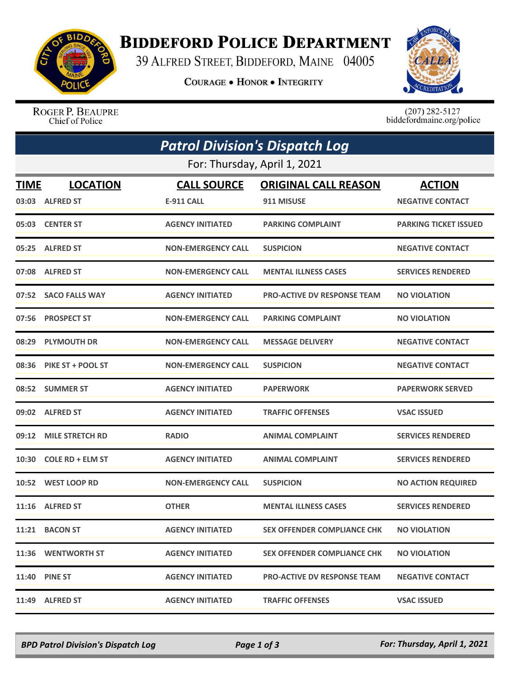

## **BIDDEFORD POLICE DEPARTMENT**

39 ALFRED STREET, BIDDEFORD, MAINE 04005

**COURAGE . HONOR . INTEGRITY** 



ROGER P. BEAUPRE Chief of Police

 $(207)$  282-5127<br>biddefordmaine.org/police

|             | <b>Patrol Division's Dispatch Log</b> |                           |                                    |                              |  |
|-------------|---------------------------------------|---------------------------|------------------------------------|------------------------------|--|
|             | For: Thursday, April 1, 2021          |                           |                                    |                              |  |
| <b>TIME</b> | <b>LOCATION</b>                       | <b>CALL SOURCE</b>        | <b>ORIGINAL CALL REASON</b>        | <b>ACTION</b>                |  |
|             | 03:03 ALFRED ST                       | E-911 CALL                | 911 MISUSE                         | <b>NEGATIVE CONTACT</b>      |  |
|             | 05:03 CENTER ST                       | <b>AGENCY INITIATED</b>   | <b>PARKING COMPLAINT</b>           | <b>PARKING TICKET ISSUED</b> |  |
|             | 05:25 ALFRED ST                       | <b>NON-EMERGENCY CALL</b> | <b>SUSPICION</b>                   | <b>NEGATIVE CONTACT</b>      |  |
|             | 07:08 ALFRED ST                       | <b>NON-EMERGENCY CALL</b> | <b>MENTAL ILLNESS CASES</b>        | <b>SERVICES RENDERED</b>     |  |
|             | 07:52 SACO FALLS WAY                  | <b>AGENCY INITIATED</b>   | <b>PRO-ACTIVE DV RESPONSE TEAM</b> | <b>NO VIOLATION</b>          |  |
|             | 07:56 PROSPECT ST                     | <b>NON-EMERGENCY CALL</b> | <b>PARKING COMPLAINT</b>           | <b>NO VIOLATION</b>          |  |
|             | 08:29 PLYMOUTH DR                     | <b>NON-EMERGENCY CALL</b> | <b>MESSAGE DELIVERY</b>            | <b>NEGATIVE CONTACT</b>      |  |
|             | 08:36 PIKE ST + POOL ST               | <b>NON-EMERGENCY CALL</b> | <b>SUSPICION</b>                   | <b>NEGATIVE CONTACT</b>      |  |
|             | 08:52 SUMMER ST                       | <b>AGENCY INITIATED</b>   | <b>PAPERWORK</b>                   | <b>PAPERWORK SERVED</b>      |  |
|             | 09:02 ALFRED ST                       | <b>AGENCY INITIATED</b>   | <b>TRAFFIC OFFENSES</b>            | <b>VSAC ISSUED</b>           |  |
|             | 09:12 MILE STRETCH RD                 | <b>RADIO</b>              | <b>ANIMAL COMPLAINT</b>            | <b>SERVICES RENDERED</b>     |  |
| 10:30       | <b>COLE RD + ELM ST</b>               | <b>AGENCY INITIATED</b>   | <b>ANIMAL COMPLAINT</b>            | <b>SERVICES RENDERED</b>     |  |
|             | 10:52 WEST LOOP RD                    | <b>NON-EMERGENCY CALL</b> | <b>SUSPICION</b>                   | <b>NO ACTION REQUIRED</b>    |  |
|             | 11:16 ALFRED ST                       | <b>OTHER</b>              | <b>MENTAL ILLNESS CASES</b>        | <b>SERVICES RENDERED</b>     |  |
|             | 11:21 BACON ST                        | <b>AGENCY INITIATED</b>   | <b>SEX OFFENDER COMPLIANCE CHK</b> | <b>NO VIOLATION</b>          |  |
|             | 11:36 WENTWORTH ST                    | <b>AGENCY INITIATED</b>   | <b>SEX OFFENDER COMPLIANCE CHK</b> | <b>NO VIOLATION</b>          |  |
|             | <b>11:40 PINE ST</b>                  | <b>AGENCY INITIATED</b>   | <b>PRO-ACTIVE DV RESPONSE TEAM</b> | <b>NEGATIVE CONTACT</b>      |  |
|             | 11:49 ALFRED ST                       | <b>AGENCY INITIATED</b>   | <b>TRAFFIC OFFENSES</b>            | <b>VSAC ISSUED</b>           |  |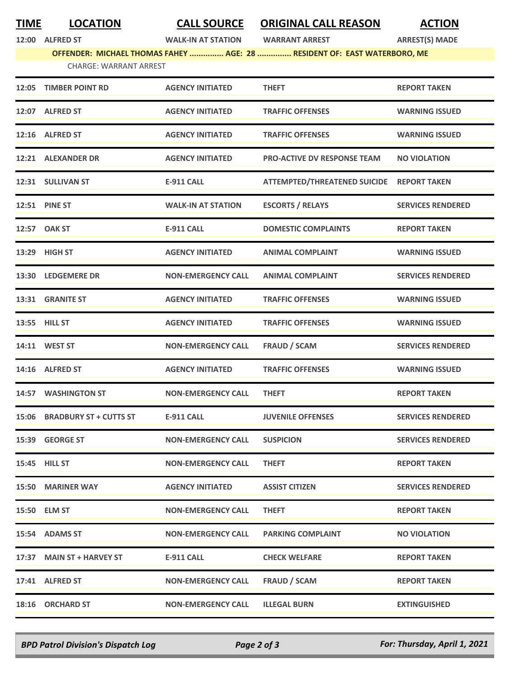## **TIME LOCATION CALL SOURCE ORIGINAL CALL REASON ACTION**

**12:00 ALFRED ST WALK-IN AT STATION WARRANT ARREST ARREST(S) MADE**

**OFFENDER: MICHAEL THOMAS FAHEY ............... AGE: 28 ............... RESIDENT OF: EAST WATERBORO, ME**

|  | <b>CHARGE: WARRANT ARREST</b> |  |
|--|-------------------------------|--|
|  |                               |  |

| 12:05 | <b>TIMBER POINT RD</b>        | <b>AGENCY INITIATED</b>   | <b>THEFT</b>                              | <b>REPORT TAKEN</b>      |
|-------|-------------------------------|---------------------------|-------------------------------------------|--------------------------|
|       | 12:07 ALFRED ST               | <b>AGENCY INITIATED</b>   | <b>TRAFFIC OFFENSES</b>                   | <b>WARNING ISSUED</b>    |
|       | 12:16 ALFRED ST               | <b>AGENCY INITIATED</b>   | <b>TRAFFIC OFFENSES</b>                   | <b>WARNING ISSUED</b>    |
|       | 12:21 ALEXANDER DR            | <b>AGENCY INITIATED</b>   | <b>PRO-ACTIVE DV RESPONSE TEAM</b>        | <b>NO VIOLATION</b>      |
|       | 12:31 SULLIVAN ST             | <b>E-911 CALL</b>         | ATTEMPTED/THREATENED SUICIDE REPORT TAKEN |                          |
|       | 12:51 PINE ST                 | <b>WALK-IN AT STATION</b> | <b>ESCORTS / RELAYS</b>                   | <b>SERVICES RENDERED</b> |
|       | 12:57 OAK ST                  | <b>E-911 CALL</b>         | <b>DOMESTIC COMPLAINTS</b>                | <b>REPORT TAKEN</b>      |
|       | 13:29 HIGH ST                 | <b>AGENCY INITIATED</b>   | <b>ANIMAL COMPLAINT</b>                   | <b>WARNING ISSUED</b>    |
|       | 13:30 LEDGEMERE DR            | <b>NON-EMERGENCY CALL</b> | <b>ANIMAL COMPLAINT</b>                   | <b>SERVICES RENDERED</b> |
|       | 13:31 GRANITE ST              | <b>AGENCY INITIATED</b>   | <b>TRAFFIC OFFENSES</b>                   | <b>WARNING ISSUED</b>    |
|       | 13:55 HILL ST                 | <b>AGENCY INITIATED</b>   | <b>TRAFFIC OFFENSES</b>                   | <b>WARNING ISSUED</b>    |
|       | 14:11 WEST ST                 | <b>NON-EMERGENCY CALL</b> | <b>FRAUD / SCAM</b>                       | <b>SERVICES RENDERED</b> |
|       | 14:16 ALFRED ST               | <b>AGENCY INITIATED</b>   | <b>TRAFFIC OFFENSES</b>                   | <b>WARNING ISSUED</b>    |
|       | 14:57 WASHINGTON ST           | <b>NON-EMERGENCY CALL</b> | <b>THEFT</b>                              | <b>REPORT TAKEN</b>      |
| 15:06 | <b>BRADBURY ST + CUTTS ST</b> | <b>E-911 CALL</b>         | <b>JUVENILE OFFENSES</b>                  | <b>SERVICES RENDERED</b> |
|       | 15:39 GEORGE ST               | <b>NON-EMERGENCY CALL</b> | <b>SUSPICION</b>                          | <b>SERVICES RENDERED</b> |
|       | 15:45 HILL ST                 | <b>NON-EMERGENCY CALL</b> | <b>THEFT</b>                              | <b>REPORT TAKEN</b>      |
|       | 15:50 MARINER WAY             | <b>AGENCY INITIATED</b>   | <b>ASSIST CITIZEN</b>                     | <b>SERVICES RENDERED</b> |
|       | 15:50 ELM ST                  | <b>NON-EMERGENCY CALL</b> | <b>THEFT</b>                              | <b>REPORT TAKEN</b>      |
|       | 15:54 ADAMS ST                | <b>NON-EMERGENCY CALL</b> | <b>PARKING COMPLAINT</b>                  | <b>NO VIOLATION</b>      |
|       | 17:37 MAIN ST + HARVEY ST     | E-911 CALL                | <b>CHECK WELFARE</b>                      | <b>REPORT TAKEN</b>      |
|       | 17:41 ALFRED ST               | <b>NON-EMERGENCY CALL</b> | <b>FRAUD / SCAM</b>                       | <b>REPORT TAKEN</b>      |
|       | 18:16 ORCHARD ST              | <b>NON-EMERGENCY CALL</b> | <b>ILLEGAL BURN</b>                       | <b>EXTINGUISHED</b>      |

*BPD Patrol Division's Dispatch Log Page 2 of 3 For: Thursday, April 1, 2021*